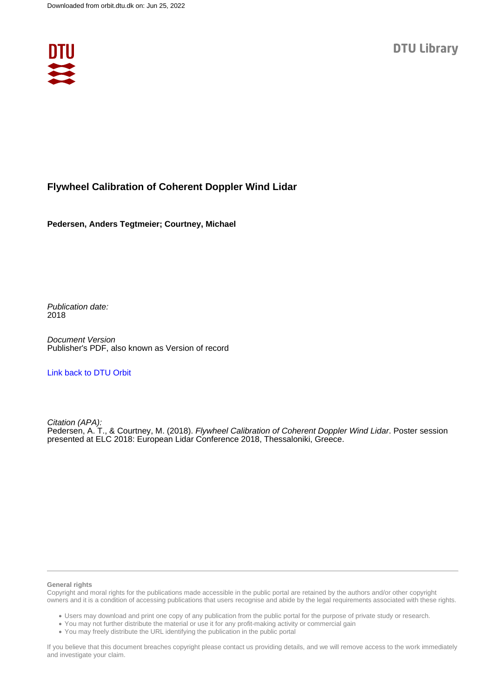

### **Flywheel Calibration of Coherent Doppler Wind Lidar**

**Pedersen, Anders Tegtmeier; Courtney, Michael**

Publication date: 2018

Document Version Publisher's PDF, also known as Version of record

[Link back to DTU Orbit](https://orbit.dtu.dk/en/publications/45c68ae9-7c4e-44f6-9371-2e5ba7ca9673)

Citation (APA): Pedersen, A. T., & Courtney, M. (2018). Flywheel Calibration of Coherent Doppler Wind Lidar. Poster session presented at ELC 2018: European Lidar Conference 2018, Thessaloniki, Greece.

### **General rights**

Copyright and moral rights for the publications made accessible in the public portal are retained by the authors and/or other copyright owners and it is a condition of accessing publications that users recognise and abide by the legal requirements associated with these rights.

Users may download and print one copy of any publication from the public portal for the purpose of private study or research.

- You may not further distribute the material or use it for any profit-making activity or commercial gain
- You may freely distribute the URL identifying the publication in the public portal

If you believe that this document breaches copyright please contact us providing details, and we will remove access to the work immediately and investigate your claim.